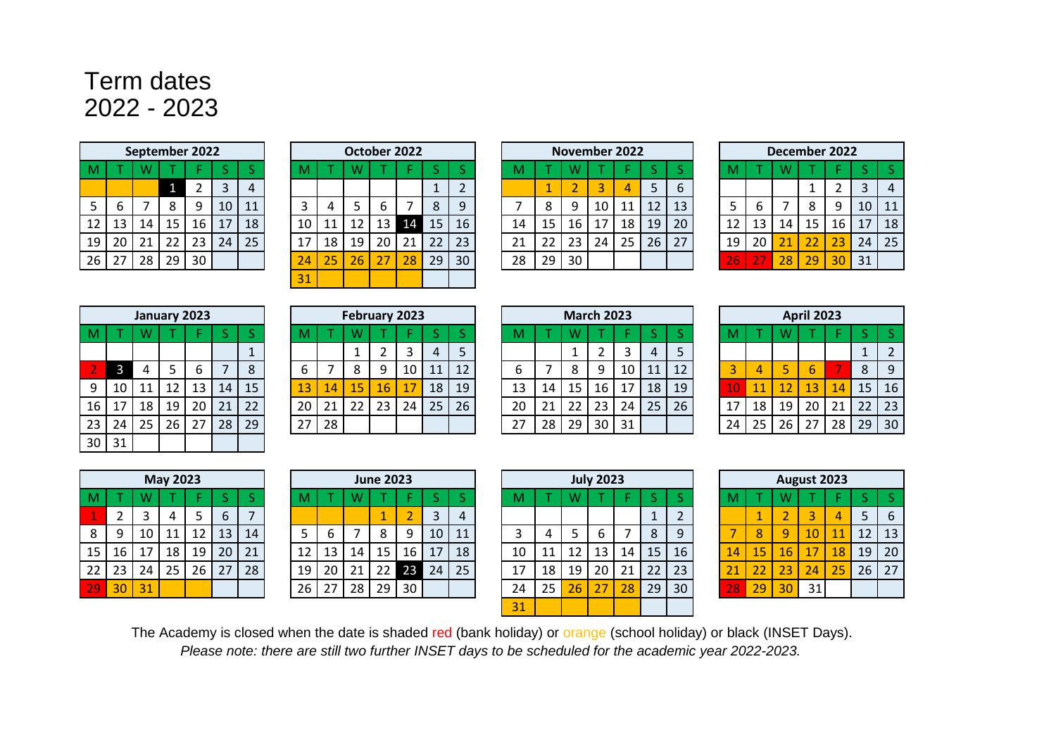## Term dates 2022 - 2023

|    |    |    | September 2022 |    |    |    |
|----|----|----|----------------|----|----|----|
| M  |    | W  |                |    | S  | ς  |
|    |    |    |                | 2  | 3  |    |
| 5  | 6  |    | 8              | 9  | 10 | 11 |
| 12 | 13 | 14 | 15             | 16 | 17 | 18 |
| 19 | 20 | 21 | 22             | 23 | 24 | 25 |
| 26 | 27 | 28 | 29             | 30 |    |    |

|                 |                 |    |                 | September 2022 |    |    |    |    | October 2022 |    |    |          |    |    |    |    | <b>November 2022</b> |    |    |    |    |    |    | December 2022 |    |                 |    |
|-----------------|-----------------|----|-----------------|----------------|----|----|----|----|--------------|----|----|----------|----|----|----|----|----------------------|----|----|----|----|----|----|---------------|----|-----------------|----|
|                 |                 |    |                 |                |    |    |    |    |              |    |    |          |    |    |    |    |                      |    |    |    |    |    |    |               |    |                 |    |
|                 |                 |    |                 | ∠              |    | 4  |    |    |              |    |    | <b>.</b> |    |    |    |    |                      |    | 5  | b  |    |    |    |               |    |                 | 4  |
| 5 <sub>1</sub>  |                 |    |                 | 9              | 10 | 11 |    |    |              |    |    | 8        | 9  |    | 8  |    | 10                   |    | 12 | 13 |    | ь  |    |               |    | 10 <sup>1</sup> | 11 |
| 12              | 13 <sup>7</sup> | 14 | 15              | 16             | 17 | 18 | 10 | 11 |              | 13 | 14 | 15       | 16 | 14 | 15 | 16 | 17                   | 18 | 19 | 20 | 12 | 13 | 14 | 15            | 16 | 17              | 18 |
| 19              | 20              | 21 | 22 <sub>1</sub> | 23             | 24 | 25 | 17 | 18 | 19           | 20 | 21 | 22       | 23 | 21 | 22 | 23 | 24                   | 25 | 26 | 27 | 19 | 20 | 21 | 22            | 23 | 24              | 25 |
| 26 <sup>2</sup> | 27              | 28 | 29              | 30             |    |    | 24 | 25 | 26           | 27 | 28 | 29       | 30 | 28 | 29 | 30 |                      |    |    |    | 26 | 27 | 28 | 29            | 30 | 31              |    |
|                 |                 |    |                 |                |    |    | 31 |    |              |    |    |          |    |    |    |    |                      |    |    |    |    |    |    |               |    |                 |    |

|    |    |    |    | <b>November 2022</b> |    |                |
|----|----|----|----|----------------------|----|----------------|
| M  |    | W  |    |                      | ς  | S              |
|    | 1  | 2  | З  | Δ                    | 5  | 6              |
|    | 8  | 9  | 10 | 11                   | 12 | 1 <sup>5</sup> |
| 14 | 15 | 16 | 17 | 18                   | 19 | 20             |
| 21 | 22 | 23 | 24 | 25                   | 26 | 27             |
| 28 | 29 | 30 |    |                      |    |                |
|    |    |    |    |                      |    |                |

|    |    |    | December 2022 |    |    |    |
|----|----|----|---------------|----|----|----|
| M  |    | W  |               |    | S  | S  |
|    |    |    | 1             | 2  | 3  | 4  |
| 5  | 6  |    | 8             | 9  | 10 | 11 |
| 12 | 13 | 14 | 15            | 16 | 17 | 18 |
| 19 | 20 | 21 | 22            | 23 | 24 | 25 |
| 26 | 77 | 28 | 29            | 30 | 31 |    |

|    |    |    | January 2023 |    |    |    |
|----|----|----|--------------|----|----|----|
| M  |    | W  |              | F  | S  | S  |
|    |    |    |              |    |    | 1  |
| 2  | 3  | 4  | 5            | 6  |    | 8  |
| 9  | 10 | 11 | 12           | 13 | 14 | 15 |
| 16 | 17 | 18 | 19           | 20 | 21 | 22 |
| 23 | 24 | 25 | 26           | 27 | 28 | 29 |
| 30 | 31 |    |              |    |    |    |

|                 |     |    |                 | January 2023 |    |    |    |    | February 2023 |    |                 |    |    |                      |    |    | <b>March 2023</b> |              |    |    |    |    |    | <b>April 2023</b> |    |     |    |
|-----------------|-----|----|-----------------|--------------|----|----|----|----|---------------|----|-----------------|----|----|----------------------|----|----|-------------------|--------------|----|----|----|----|----|-------------------|----|-----|----|
|                 |     |    |                 |              |    |    |    |    |               |    |                 |    |    |                      |    |    |                   |              |    |    |    |    |    |                   |    |     |    |
|                 |     |    |                 |              |    |    |    |    |               |    |                 |    |    |                      |    |    |                   |              | 4  |    |    |    |    |                   |    |     |    |
|                 |     |    |                 | ь            |    |    |    |    |               | Q  |                 | 11 | 12 | b                    |    |    |                   | 10           | 11 | 12 |    | 4  |    |                   |    | 8   | 9  |
| 9               | -10 | 11 | 12              | 13           | 14 | 15 | 13 | 14 | 15            | 16 |                 | 18 | 19 | 13                   | 14 | 15 | 16                | $\mathbf{7}$ | 18 | 19 |    |    | 12 | 13                | 14 | 15  | 16 |
| 16 <sup>1</sup> | 17  | 18 | 19              | 20           | 21 | 22 | 20 | 21 | 22            | 23 | 24 <sub>1</sub> | 25 | 26 | 20                   | 21 | 22 | 23                | 24           | 25 | 26 |    | 18 | 19 | 20                | 21 | 22. | 23 |
| 23              | 24  | 25 | 26 <sub>1</sub> | 27           | 28 | 29 | 27 | 28 |               |    |                 |    |    | つつ<br>$\mathcal{L}I$ | 28 | 29 | 30                | 31           |    |    | 24 | 25 | 26 | 27                | 28 | 29  | 30 |
|                 |     |    |                 |              |    |    |    |    |               |    |                 |    |    |                      |    |    |                   |              |    |    |    |    |    |                   |    |     |    |

|    |    |    | <b>March 2023</b> |    |    |                |
|----|----|----|-------------------|----|----|----------------|
| M  |    | W  |                   |    | S  |                |
|    |    | 1  | 2                 | 3  | 4  |                |
| 6  |    | 8  | 9                 | 10 | 11 | 1              |
| 13 | 14 | 15 | 16                | 17 | 18 |                |
| 20 | 21 | 22 | 23                | 24 | 25 | $\overline{2}$ |
| 27 | 28 | 29 | 30                | 31 |    |                |

|    |    |    | <b>April 2023</b> |    |    |                |
|----|----|----|-------------------|----|----|----------------|
| M  |    | W  |                   |    | S  | S              |
|    |    |    |                   |    | 1  | $\overline{2}$ |
| 3  |    | 5  | 6                 |    | 8  | 9              |
| 40 | 11 | 12 | 13                | 14 | 15 | 16             |
| 17 | 18 | 19 | 20                | 21 | 22 | 23             |
| 24 | 25 | 26 | 27                | 28 | 29 | 30             |

|    |    |    | <b>May 2023</b> |    |    |    |
|----|----|----|-----------------|----|----|----|
| M  |    | W  |                 | F  | ς  | ς  |
| 1  | 2  | 3  | 4               | 5  | 6  |    |
| 8  | 9  | 10 | 11              | 12 | 13 | 14 |
| 15 | 16 | 17 | 18              | 19 | 20 | 21 |
| 22 | 23 | 24 | 25              | 26 | 27 | 28 |
| 74 | 30 | 31 |                 |    |    |    |

|                |                 |     | <b>May 2023</b> |    |                 |    |    |    |                 | <b>June 2023</b> |                 |    |    |    |    |    | <b>July 2023</b> |       |    |                 |            |    |    | August 2023 |    |                 |     |
|----------------|-----------------|-----|-----------------|----|-----------------|----|----|----|-----------------|------------------|-----------------|----|----|----|----|----|------------------|-------|----|-----------------|------------|----|----|-------------|----|-----------------|-----|
|                |                 |     |                 |    |                 |    |    |    |                 |                  |                 |    |    |    |    |    |                  |       |    |                 |            |    |    |             |    |                 |     |
|                |                 |     |                 |    | b               |    |    |    |                 |                  |                 |    | 4  |    |    |    |                  |       |    |                 |            |    |    |             |    |                 | - 6 |
| 8 <sup>1</sup> |                 | 10  | 11 I            | 12 | 13              | 14 |    |    |                 |                  | ٩               | 10 | 11 |    |    |    |                  |       | 8  | Q               |            |    | 9  | 10          | 11 | 12 <sub>1</sub> | 13  |
| 15 I           | 16              | -17 | 18,             | 19 | 20 <sup>1</sup> | 21 | 12 | 13 | 14 <sub>1</sub> | 15               | 16 <sup>1</sup> | 17 | 18 | 10 |    | 12 | 13               | -14 . | 15 | 16 <sub>1</sub> | 14         | 15 | 16 | 17          | 18 | 19              | 20  |
|                | 22   23         | 24  | 25              | 26 | 27              | 28 | 19 | 20 |                 | 22               | 23 <sub>1</sub> | 24 | 25 |    | 18 | 19 | 20               | 21    | 22 | 23              |            |    | 23 | 24          | 25 | 26 <sub>1</sub> | 27  |
| 29             | 30 <sup>1</sup> | 31  |                 |    |                 |    | 26 | 27 | 28 <sub>1</sub> | 29               | 30 <sup>1</sup> |    |    | 24 | 25 | 26 | 27               | 28    | 29 | 30              | <b>281</b> | 29 | 30 | 31          |    |                 |     |
|                |                 |     |                 |    |                 |    |    |    |                 |                  |                 |    |    |    |    |    |                  |       |    |                 |            |    |    |             |    |                 |     |

|           | <b>May 2023</b> |    |    |    |    |    |    | <b>June 2023</b> |    |     |    |    |    |    | <b>July 2023</b> |    |    |    |                 |    |    | August 2023 |                 |
|-----------|-----------------|----|----|----|----|----|----|------------------|----|-----|----|----|----|----|------------------|----|----|----|-----------------|----|----|-------------|-----------------|
|           |                 |    |    |    |    |    |    |                  |    |     |    | М  |    |    |                  |    |    |    |                 |    |    |             |                 |
|           |                 |    | ь  |    |    |    |    |                  |    | 3   | 4  |    |    |    |                  |    |    |    |                 |    |    |             | $\overline{4}$  |
| 0         |                 | 12 | 13 | 14 |    | b  |    |                  | 9  | 10  | 11 |    |    |    | b                |    | 8  | 9  |                 | 8  | 9  | 10          | $\overline{11}$ |
| ⇁         | 18              | 19 | 20 | 21 | 12 | 13 | 14 | 15               | 16 | 17  | 18 | 10 | 11 | 12 | 13               | 14 | 15 | 16 | 14              | 15 | 16 | 17          | <b>18</b>       |
| $\vert$ 4 | 25              | 26 | 27 | 28 | 19 | 20 | 21 | 22 I             | 23 | -24 | 25 | 17 | 18 | 19 | 20               | 21 | 22 | 23 | $\overline{21}$ | 22 | 23 | 24          | 25              |
|           |                 |    |    |    | 26 | 27 | 28 | 29               | 30 |     |    | 24 | 25 | 26 | 27               | 28 | 29 | 30 | 28              | 29 | 30 | 31          |                 |
|           |                 |    |    |    |    |    |    |                  |    |     |    | 31 |    |    |                  |    |    |    |                 |    |    |             |                 |

|    |    |                         | August 2023 |    |    |    |
|----|----|-------------------------|-------------|----|----|----|
| M  |    | W                       |             |    | S  | S  |
|    | 1  | $\overline{\mathbf{c}}$ | 3           |    | 5  | 6  |
|    | 8  | 9                       | 10          | 11 | 12 | 13 |
| 14 | 15 | 16                      | 17          | 18 | 19 | 20 |
| 21 | 22 | 23                      | 24          | 25 | 26 | 27 |
| 28 | 29 | 30                      | 31          |    |    |    |

The Academy is closed when the date is shaded red (bank holiday) or orange (school holiday) or black (INSET Days). *Please note: there are still two further INSET days to be scheduled for the academic year 2022-2023.*